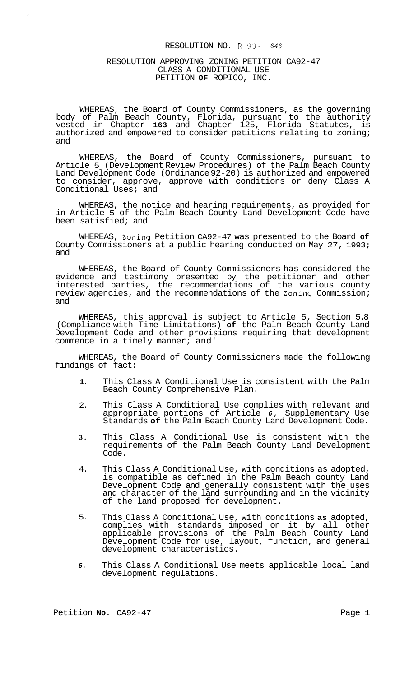## RESOLUTION NO. R-93- *<sup>646</sup>*

# RESOLUTION APPROVING ZONING PETITION CA92-47 CLASS A CONDITIONAL USE PETITION **OF** ROPICO, INC.

WHEREAS, the Board of County Commissioners, as the governing body of Palm Beach County, Florida, pursuant to the authority vested in Chapter **163** and Chapter 125, Florida Statutes, is authorized and empowered to consider petitions relating to zoning; and

WHEREAS, the Board of County Commissioners, pursuant to Article 5 (Development Review Procedures) of the Palm Beach County Land Development Code (Ordinance 92-20) is authorized and empowered to consider, approve, approve with conditions or deny Class A Conditional Uses; and

WHEREAS, the notice and hearing requirements, as provided for in Article 5 of the Palm Beach County Land Development Code have been satisfied; and

WHEREAS, Zoxing Petition CA92-47 was presented to the Board **of**  County Commissioners at a public hearing conducted on May 27, 1993; and

WHEREAS, the Board of County Commissioners has considered the evidence and testimony presented by the petitioner and other interested parties, the recommendations of the various county review agencies, and the recommendations of the Zoniny Commission; and

WHEREAS, this approval is subject to Article 5, Section 5.8 (Compliance with Time Limitations) **of** the Palm Beach County Land Development Code and other provisions requiring that development commence in a timely manner; and'

WHEREAS, the Board of County Commissioners made the following findings of fact:

- **1.**  This Class A Conditional Use is consistent with the Palm Beach County Comprehensive Plan.
- 2. This Class A Conditional Use complies with relevant and appropriate portions of Article *6,* Supplementary Use Standards **of** the Palm Beach County Land Development Code.
- **3.**  This Class A Conditional Use is consistent with the requirements of the Palm Beach County Land Development Code.
- 4. This Class A Conditional Use, with conditions as adopted, is compatible as defined in the Palm Beach county Land Development Code and generally consistent with the uses and character of the land surrounding and in the vicinity of the land proposed for development.
- 5. This Class A Conditional Use, with conditions **as** adopted, complies with standards imposed on it by all other applicable provisions of the Palm Beach County Land Development Code for use, layout, function, and general development characteristics.
- *6.*  This Class A Conditional Use meets applicable local land development regulations.

,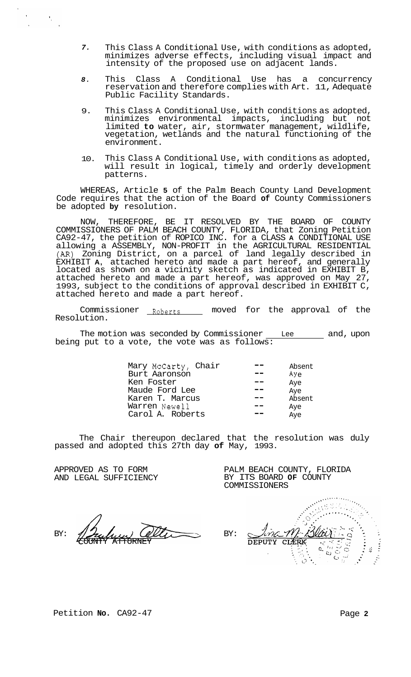- *7.*  This Class A Conditional Use, with conditions as adopted, minimizes adverse effects, including visual impact and intensity of the proposed use on adjacent lands.
- *8.*  This Class A Conditional Use has a concurrency reservation and therefore complies with Art. 11, Adequate Public Facility Standards.
- 9. This Class A Conditional Use, with conditions as adopted, minimizes environmental impacts, including but not limited **to** water, air, stormwater management, wildlife, vegetation, wetlands and the natural functioning of the environment.
- 10. This Class A Conditional Use, with conditions as adopted, will result in logical, timely and orderly development patterns.

WHEREAS, Article **5** of the Palm Beach County Land Development Code requires that the action of the Board **of** County Commissioners be adopted **by** resolution.

NOW, THEREFORE, BE IT RESOLVED BY THE BOARD OF COUNTY COMMISSIONERS OF PALM BEACH COUNTY, FLORIDA, that Zoning Petition CA92-47, the petition of ROPICO INC. for a CLASS **A** CONDITIONAL USE allowing a ASSEMBLY, NON-PROFIT in the AGRICULTURAL RESIDENTIAL *(AR)* Zoning District, on a parcel of land legally described in EXHIBIT **A,** attached hereto and made a part hereof, and generally located as shown on a vicinity sketch as indicated in EXHIBIT B, attached hereto and made a part hereof, was approved on May 27, 1993, subject to the conditions of approval described in EXHIBIT C, attached hereto and made a part hereof.

Commissioner Roberts - moved for the approval of the Resolution.

The motion was seconded by Commissioner  $\_\_$  Lee  $\_\_$  and, upon being put to a vote, the vote was as follows:

| Absent    |
|-----------|
| $Ay \sim$ |
| Aye       |
| Aye       |
| Absent    |
| Aye       |
| Aye       |
|           |

The Chair thereupon declared that the resolution was duly passed and adopted this 27th day **of** May, 1993.

APPROVED AS TO FORM AND LEGAL SUFFICIENCY

BY: OUNTY ATTORNEY

Antoning<br>SSICARAWA<br>Antoning Mark  $\hat{\mathscr{M}}$ BY: T.M **DEPUTY CLERK**  $\overline{O}$  $\overline{a}$  $\frac{d^2}{dt^2}$  $\mathbb{C}$  $\mathbf{C} \rightarrow$ 75

PALM BEACH COUNTY, FLORIDA BY ITS BOARD **OF** COUNTY

COMMISSIONERS

Petition **No.** CA92-47 **Page 2 Page 2**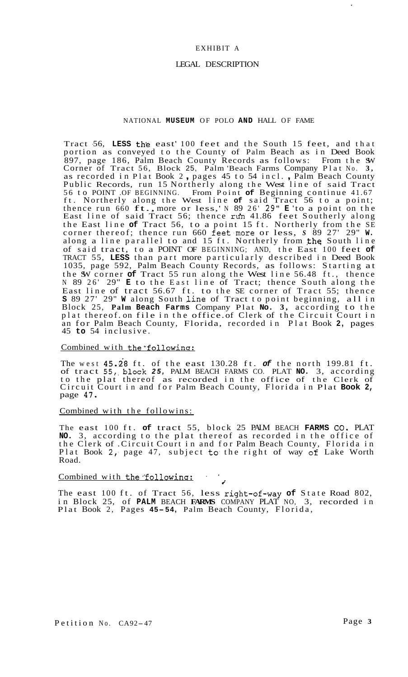# EXHIBIT A

# LEGAL DESCRIPTION

# NATIONAL **MUSEUM** OF POLO **AND** HALL OF FAME

Tract -56, **LESS** the east' 100 feet and the South 15 feet, and that portion as conveyed to the County of Palm Beach as in Deed Book 897, page 186, Palm Beach County Records as follows: From the SW Corner of Tract 56, Block 25, Palm 'Beach Farms Company Plat No. **3,**  as recorded in Plat Book 2 , pages 45 to 54 incl. , Palm Beach County Public Records, run 15 Northerly along the West line of said Tract 56 to POINT .OF BEGINNING. From Point **of** Beginning continue 41.67 ft. Northerly along the West line **of** said Tract 56 to a point; thence run 660 ft., more or less,' N 89 26' 29" **E** 'to a point on the East line of said Tract 56; thence  $\sin 41.86$  feet Southerly along the East line **of** Tract 56, to a point 15 ft. Northerly from the SE corner thereof; thence run 660 feet.more or less, *S* 89 27' 29" **W.**  along a line parallel to and 15 ft. Northerly from the South line of said tract, to a POINT OF BEGINNING; AND, the East 100 feet **of**  TRACT 55, **LESS** than part more particularly described in Deed Book 1035, page 592, Palm Beach County Records, as follows: Starting at the SW corner **of** Tract 55 run along the West line 56.48 ft., thence N 89 26' 29" **E** to the East line of Tract; thence South along the East line of tract 56.67 ft. to the SE corner of Tract 55; thence **S** 89 27' 29" **W** along South Jine of Tract to point beginning, all in Block 25, **Palm Beach Farms** Company Plat **No. 3,** according to the plat thereof. on file in the office. of Clerk of the Circuit Court in an for Palm Beach County, Florida, recorded in Plat Book **2,** pages 45 **to** 54 inclusive.

## Combined with the following:

The west  $45.28$  ft. of the east  $130.28$  ft. of the north  $199.81$  ft. of tract 55,.block *25,* PALM BEACH FARMS CO. PLAT **NO.** 3, according to the plat thereof as recorded in the office of the Clerk of Circuit Court in and for Palm Beach County, Florida in Plat **Book 2,**  page 47,

## Combined with the followins:

The east 100 ft. **of** tract 55, block 25 PALM BEACH **FARMS** *00.* PLAT **NO.** 3, according to the plat thereof as recorded in the office of the Clerk of .Circuit Court in and for Palm Beach County, Florida in Plat Book 2, page 47, subject to the right of way of Lake Worth Road. **i** 

# Combined with the following:

The east 100 ft. of Tract 56, less right-of.-way **of** State Road 802, in Block 25, of **PALM** BEACH **FARMS** COMPANY PLAT NO, 3, recorded in Plat Book 2, Pages **45- 54,** Palm Beach County, Florida,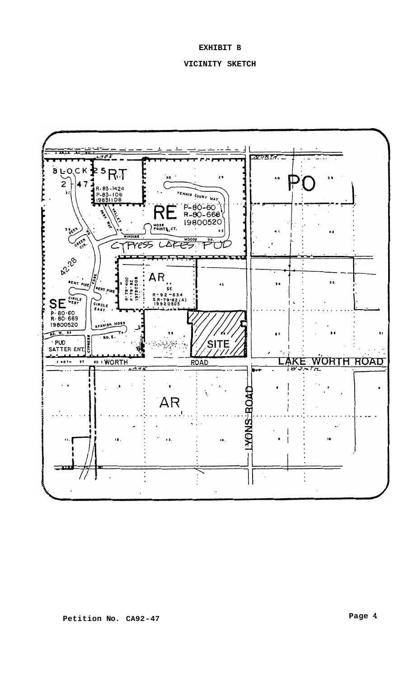# **EXHIBIT B**

# **VICINITY SKETCH**

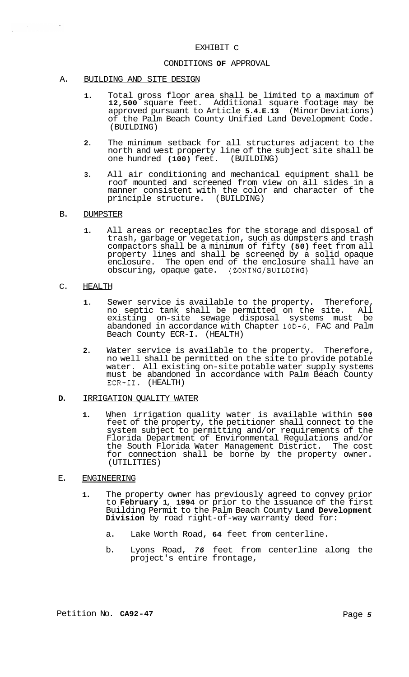## EXHIBIT C

#### CONDITIONS **OF** APPROVAL

#### A. BUILDING AND SITE DESIGN

- **1.** Total gross floor area shall be limited to a maximum of **12,500** square feet. Additional square footage may be approved pursuant to Article **5.4.E.13** (Minor Deviations) of the Palm Beach County Unified Land Development Code. (BUILDING)
- **2.** The minimum setback for all structures adjacent to the north and west property line of the subject site shall be one hundred **(100)** feet. (BUILDING)
- **3.** All air conditioning and mechanical equipment shall be roof mounted and screened from view on all sides in a manner consistent with the color and character of the principle structure. (BUILDING)

## B. DUMPSTER

 $\label{eq:2} \frac{1}{\sqrt{2}}\sum_{i=1}^n\frac{1}{\sqrt{2\pi}}\sum_{i=1}^n\frac{1}{\sqrt{2\pi}}\sum_{i=1}^n\frac{1}{\sqrt{2\pi}}\sum_{i=1}^n\frac{1}{\sqrt{2\pi}}\sum_{i=1}^n\frac{1}{\sqrt{2\pi}}\sum_{i=1}^n\frac{1}{\sqrt{2\pi}}\sum_{i=1}^n\frac{1}{\sqrt{2\pi}}\sum_{i=1}^n\frac{1}{\sqrt{2\pi}}\sum_{i=1}^n\frac{1}{\sqrt{2\pi}}\sum_{i=1}^n\frac{1}{$ 

 $\hat{\mathcal{A}}$ 

**1.** All areas or receptacles for the storage and disposal of trash, garbage or vegetation, such as dumpsters and trash compactors shall be a minimum of fifty **(50)** feet from all property lines and shall be screened by a solid opaque enclosure. The open end of the enclosure shall have an obscuring, opaque gate. (ZONING/BUILDING)

#### C. HEALTH

- **1.** Sewer service is available to the property. Therefore, no septic tank shall be permitted on the site. All existing on-site sewage disposal systems must be abandoned in accordance with Chapter 10D-6, FAC and Palm Beach County ECR-I. (HEALTH)
- **2.** Water service is available to the property. Therefore, no well shall be permitted on the site to provide potable water. All existing on-site potable water supply systems must be abandoned in accordance with Palm Beach County ECR-11. (HEALTH)

#### **D.** IRRIGATION QUALITY WATER

**1.** When irrigation quality water is available within **500**  feet of the property, the petitioner shall connect to the system subject to permitting and/or requirements of the Florida Department of Environmental Regulations and/or the South Florida Water Management District. The cost for connection shall be borne by the property owner. (UTILITIES)

# E. ENGINEERING

- **1.** The property owner has previously agreed to convey prior to **February 1, 1994** or prior to the issuance of the first Building Permit to the Palm Beach County **Land Development Division** by road right-of-way warranty deed for:
	- a. Lake Worth Road, **64** feet from centerline.
	- b. Lyons Road, *76* feet from centerline along the project's entire frontage,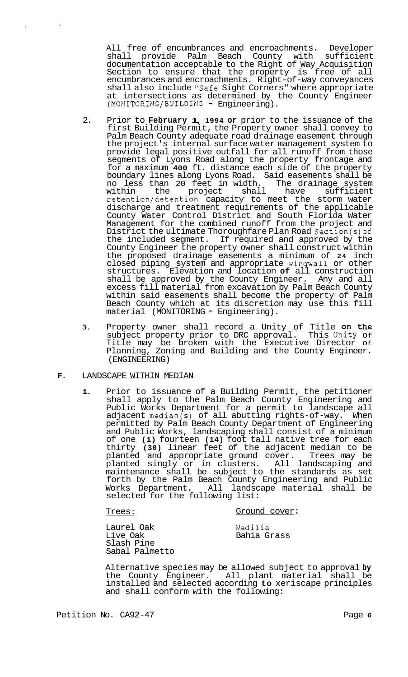All free of encumbrances and encroachments. Developer shall provide Palm Beach County with sufficient documentation acceptable to the Right of Way Acquisition Section to ensure that the property is free of all encumbrances and encroachments. Right-of-way conveyances shall also include "Safe Sight Corners" where appropriate at intersections as determined by the County Engineer (MONITORING/BUILDING - Engineering).

- 2. Prior to **February 1, 1994 or** prior to the issuance of the first Building Permit, the Property owner shall convey to Palm Beach County adequate road drainage easement through the project's internal surface water management system to provide legal positive outfall for all runoff from those segments of Lyons Road along the property frontage and for a maximum **400** ft. distance each side of the property boundary lines along Lyons Road. Said easements shall be no less than 20 feet in width. The drainage system within the project shall have sufficient retention/detention capacity to meet the storm water discharge and treatment requirements of the applicable County Water Control District and South Florida Water Management for the combined runoff from the project and District the ultimate Thoroughfare Plan Road Section(s)of the included segment. If required and approved by the County Engineer the property owner shall construct within the proposed drainage easements a minimum of **24** inch closed piping system and appropriate wingwall or other structures. Elevation and location **of** all construction shall be approved by the County Engineer. Any and all excess fill material from excavation by Palm Beach County within said easements shall become the property of Palm Beach County which at its discretion may use this fill material (MONITORING - Engineering).
- **3.** Property owner shall record a Unity of Title on the subject property prior to DRC approval. This Unity Of Title may be broken with the Executive Director Of Planning, Zoning and Building and the County Engineer. (ENGINEERING)

## **F.** LANDSCAPE WITHIN MEDIAN

 $\mathbf{r}$ 

**1.** Prior to issuance of a Building Permit, the petitioner shall apply to the Palm Beach County Engineering and Public Works Department for a permit to landscape all adjacent median(s) of all abutting rights-of-way. When permitted by Palm Beach County Department of Engineering and Public Works, landscaping shall consist of a minimum of one **(1)** fourteen **(14)** foot tall native tree for each thirty **(30)** linear feet of the adjacent median to be planted and appropriate ground cover. Trees may be planted singly or in clusters. All landscaping and maintenance shall be subject to the standards as set forth by the Palm Beach County Engineering and Public Works Department. All landscape material shall be selected for the following list:

Trees :

## Ground cover:

Laurel Oak Live Oak Slash Pine Sabal Palmetto

Wedilia Bahia Grass

Alternative species may be allowed subject to approval **by**  the County Engineer. All plant material shall be installed and selected according **to** xeriscape principles and shall conform with the following: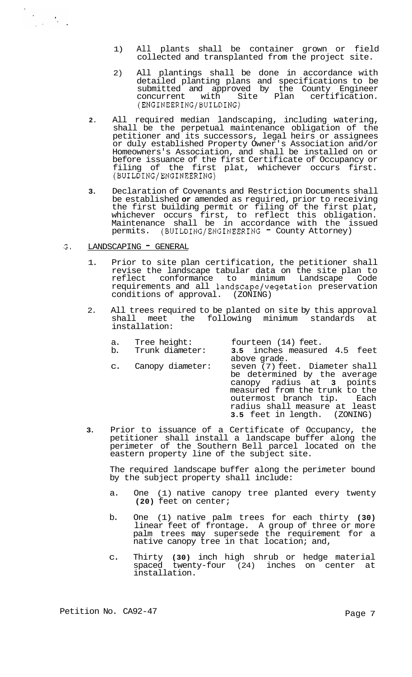- 1) All plants shall be container grown or field collected and transplanted from the project site.
- 2) All plantings shall be done in accordance with detailed planting plans and specifications to be submitted and approved by the County Engineer concurrent with Site Plan certification. (ENGINEERING/BUILDING)
- **2.** All required median landscaping, including watering, shall be the perpetual maintenance obligation of the petitioner and its successors, legal heirs or assignees or duly established Property Owner's Association and/or Homeowners's Association, and shall be installed on or before issuance of the first Certificate of Occupancy or filing of the first plat, whichever occurs first. (BUILDING/ENGINEERING)
- **3.** Declaration of Covenants and Restriction Documents shall be established **or** amended as required, prior to receiving the first building permit or filing of the first plat, whichever occurs first, to reflect this obligation. Maintenance shall be in accordance with the issued<br>permits. (BUILDING/ENGINEERING - County-Attorney)
- $G.$  LANDSCAPING  $\blacksquare$  GENERAL

 $\label{eq:2} \frac{d\mathbf{y}}{d\mathbf{x}} = \frac{d\mathbf{y}}{d\mathbf{x}} \mathbf{y}$ 

- 1. Prior to site plan certification, the petitioner shall revise the landscape tabular data on the site plan to reflect conformance to minimum Landscape Code requirements and all landscape/vegetation preservation conditions of approval. (ZONING)
- 2. All trees required to be planted on site by this approval shall meet the following minimum standards at installation:

| fourteen (14) feet.<br>3.5 inches measured 4.5 feet                                                                                           |
|-----------------------------------------------------------------------------------------------------------------------------------------------|
| above grade.<br>seven (7) feet. Diameter shall<br>be determined by the average<br>canopy radius at 3 points<br>measured from the trunk to the |
|                                                                                                                                               |

outermost branch tip. Each radius shall measure at least<br>3.5 feet in length. (ZONING)

3.5 feet in length.

**3.** Prior to issuance of a Certificate of Occupancy, the petitioner shall install a landscape buffer along the perimeter of the Southern Bell parcel located on the eastern property line of the subject site.

The required landscape buffer along the perimeter bound by the subject property shall include:

- a. One (1) native canopy tree planted every twenty **(20)** feet on center;
- b. One (1) native palm trees for each thirty **(30)**  linear feet of frontage. A group of three or more palm trees may supersede the requirement for a native canopy tree in that location; and,
- c. Thirty **(30)** inch high shrub or hedge material spaced twenty-four (24) inches on center at installation.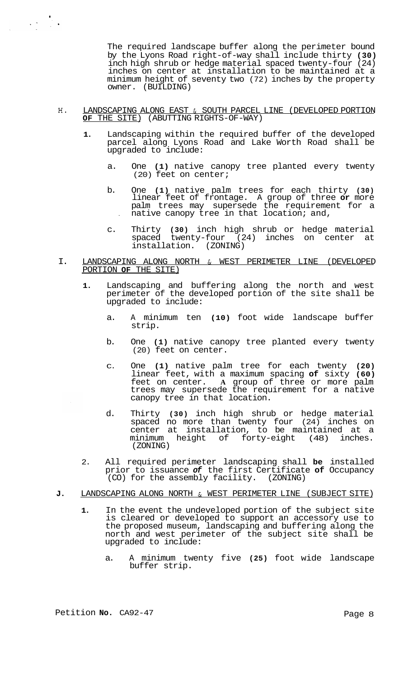The required landscape buffer along the perimeter bound by the Lyons Road right-of-way shall include thirty **(30)**  inch high shrub or hedge material spaced twenty-four (24) inches on center at installation to be maintained at a minimum height of seventy two (72) inches by the property owner. (BUILDING)

- H. LANDSCAPING ALONG EAST & SOUTH PARCEL LINE (DEVELOPED PORTION **OF** THE SITE) (ABUTTING RIGHTS-OF-WAY)
	- **1.** Landscaping within the required buffer of the developed parcel along Lyons Road and Lake Worth Road shall be upgraded to include:
		- a. One **(1)** native canopy tree planted every twenty (20) feet on center;
		- b. One **(1)** native palm trees for each thirty **(30)**  linear feet of frontage. A group of three **or** more palm trees may supersede the requirement for a . native canopy tree in that location; and,
		- c. Thirty **(30)** inch high shrub or hedge material spaced twenty-four (24) inches on center at installation. (ZONING)
- I. LANDSCAPING ALONG NORTH & WEST PERIMETER LINE (DEVELOPED PORTION **OF** THE SITE)
	- **1.** Landscaping and buffering along the north and west perimeter of the developed portion of the site shall be upgraded to include:
		- a. A minimum ten **(10)** foot wide landscape buffer strip.
		- b. One **(1)** native canopy tree planted every twenty (20) feet on center.
		- C. One **(1)** native palm tree for each twenty **(20)**  linear feet, with a maximum spacing **of** sixty **(60)**  feet on center. **A** group of three or more palm trees may supersede the requirement for a native canopy tree in that location.
		- d. Thirty **(30)** inch high shrub or hedge material spaced no more than twenty four (24) inches on center at installation, to be maintained at a minimum height of forty-eight (48) inches. (ZONING)
	- 2. All required perimeter landscaping shall **be** installed prior to issuance *of* the first Certificate **of** Occupancy (CO) for the assembly facility. (ZONING)
- **J.** LANDSCAPING ALONG NORTH & WEST PERIMETER LINE (SUBJECT SITE)
	- **1.** In the event the undeveloped portion of the subject site is cleared or developed to support an accessory use to the proposed museum, landscaping and buffering along the north and west perimeter of the subject site shall be upgraded to include:
		- a. A minimum twenty five **(25)** foot wide landscape buffer strip.

.